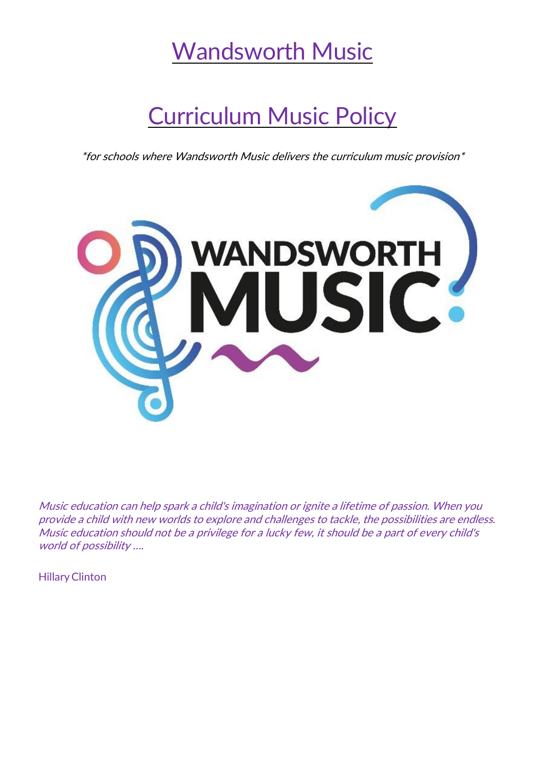## Wandsworth Music

# Curriculum Music Policy

\*for schools where Wandsworth Music delivers the curriculum music provision\*



Music education can help spark <sup>a</sup> child's imagination or ignite <sup>a</sup> lifetime of passion. When you provide <sup>a</sup> child with new worlds to explore and challenges to tackle, the possibilities are endless. Music education should not be a privilege for a lucky few, it should be a part of every child's world of possibility ….

**Hillary Clinton**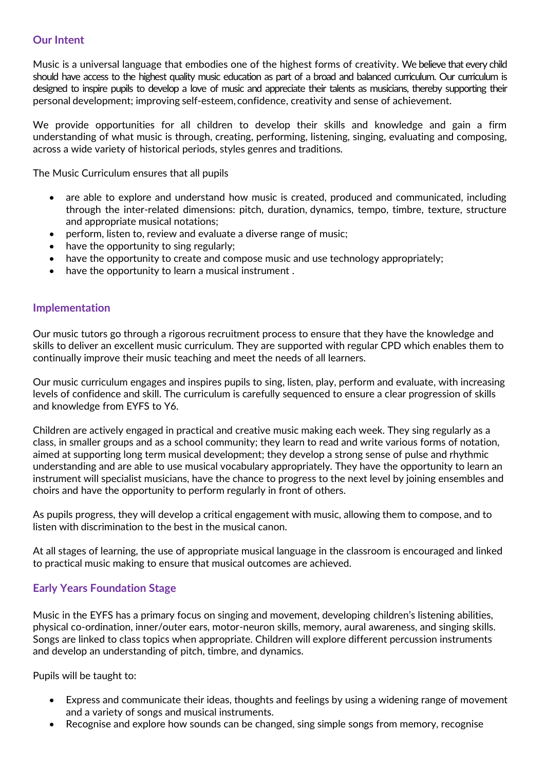Music is a universal language that embodies one of the highest forms of creativity. We believe that every child should have access to the highest quality music education as part of a broad and balanced curriculum. Our curriculum is designed to inspire pupils to develop a love of music and appreciate their talents as musicians, thereby supporting their personal development; improving self-esteem, confidence, creativity and sense of achievement.

We provide opportunities for all children to develop their skills and knowledge and gain a firm understanding of what music is through, creating, performing, listening, singing, evaluating and composing, across a wide variety of historical periods, styles genres and traditions.

The Music Curriculum ensures that all pupils

- are able to explore and understand how music is created, produced and communicated, including through the inter-related dimensions: pitch, duration, dynamics, tempo, timbre, texture, structure and appropriate musical notations;
- perform, listen to, review and evaluate a diverse range of music;
- have the opportunity to sing regularly;
- have the opportunity to create and compose music and use technology appropriately;
- have the opportunity to learn a musical instrument.

#### **Implementation**

Our music tutors go through a rigorous recruitment process to ensure that they have the knowledge and skills to deliver an excellent music curriculum. They are supported with regular CPD which enables them to continually improve their music teaching and meet the needs of all learners.

Our music curriculum engages and inspires pupils to sing, listen, play, perform and evaluate, with increasing levels of confidence and skill. The curriculum is carefully sequenced to ensure a clear progression of skills and knowledge from EYFS to Y6.

Children are actively engaged in practical and creative music making each week. They sing regularly as a class, in smaller groups and as a school community; they learn to read and write various forms of notation, aimed at supporting long term musical development; they develop a strong sense of pulse and rhythmic understanding and are able to use musical vocabulary appropriately. They have the opportunity to learn an instrument will specialist musicians, have the chance to progress to the next level by joining ensembles and choirs and have the opportunity to perform regularly in front of others.

As pupils progress, they will develop a critical engagement with music, allowing them to compose, and to listen with discrimination to the best in the musical canon.

At all stages of learning, the use of appropriate musical language in the classroom is encouraged and linked to practical music making to ensure that musical outcomes are achieved.

## **Early Years Foundation Stage**

Music in the EYFS has a primary focus on singing and movement, developing children's listening abilities, physical co-ordination, inner/outer ears, motor-neuron skills, memory, aural awareness, and singing skills. Songs are linked to class topics when appropriate. Children will explore different percussion instruments and develop an understanding of pitch, timbre, and dynamics.

Pupils will be taught to:

- Express and communicate their ideas, thoughts and feelings by using a widening range of movement and a variety of songs and musical instruments.
- Recognise and explore how sounds can be changed, sing simple songs from memory, recognise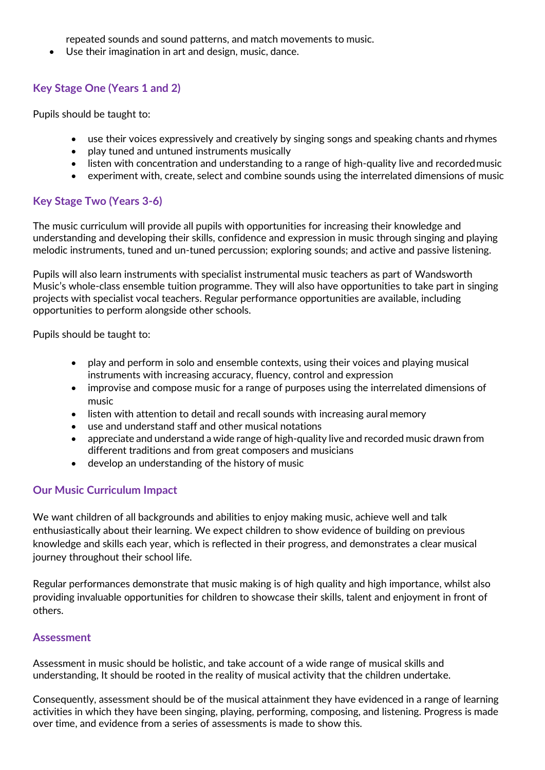repeated sounds and sound patterns, and match movements to music.

• Use their imagination in art and design, music, dance.

## **Key Stage One (Years 1 and 2)**

Pupils should be taught to:

- use their voices expressively and creatively by singing songs and speaking chants and rhymes
- play tuned and untuned instruments musically
- listen with concentration and understanding to a range of high-quality live and recordedmusic
- experiment with, create, select and combine sounds using the interrelated dimensions of music

## **Key Stage Two (Years 3-6)**

The music curriculum will provide all pupils with opportunities for increasing their knowledge and understanding and developing their skills, confidence and expression in music through singing and playing melodic instruments, tuned and un-tuned percussion; exploring sounds; and active and passive listening.

Pupils will also learn instruments with specialist instrumental music teachers as part of Wandsworth Music's whole-class ensemble tuition programme. They will also have opportunities to take part in singing projects with specialist vocal teachers. Regular performance opportunities are available, including opportunities to perform alongside other schools.

Pupils should be taught to:

- play and perform in solo and ensemble contexts, using their voices and playing musical instruments with increasing accuracy, fluency, control and expression
- improvise and compose music for a range of purposes using the interrelated dimensions of music
- listen with attention to detail and recall sounds with increasing aural memory
- use and understand staff and other musical notations
- appreciate and understand a wide range of high-quality live and recorded music drawn from different traditions and from great composers and musicians
- develop an understanding of the history of music

## **Our Music Curriculum Impact**

We want children of all backgrounds and abilities to enjoy making music, achieve well and talk enthusiastically about their learning. We expect children to show evidence of building on previous knowledge and skills each year, which is reflected in their progress, and demonstrates a clear musical journey throughout their school life.

Regular performances demonstrate that music making is of high quality and high importance, whilst also providing invaluable opportunities for children to showcase their skills, talent and enjoyment in front of others.

## **Assessment**

Assessment in music should be holistic, and take account of a wide range of musical skills and understanding, It should be rooted in the reality of musical activity that the children undertake.

Consequently, assessment should be of the musical attainment they have evidenced in a range of learning activities in which they have been singing, playing, performing, composing, and listening. Progress is made over time, and evidence from a series of assessments is made to show this.